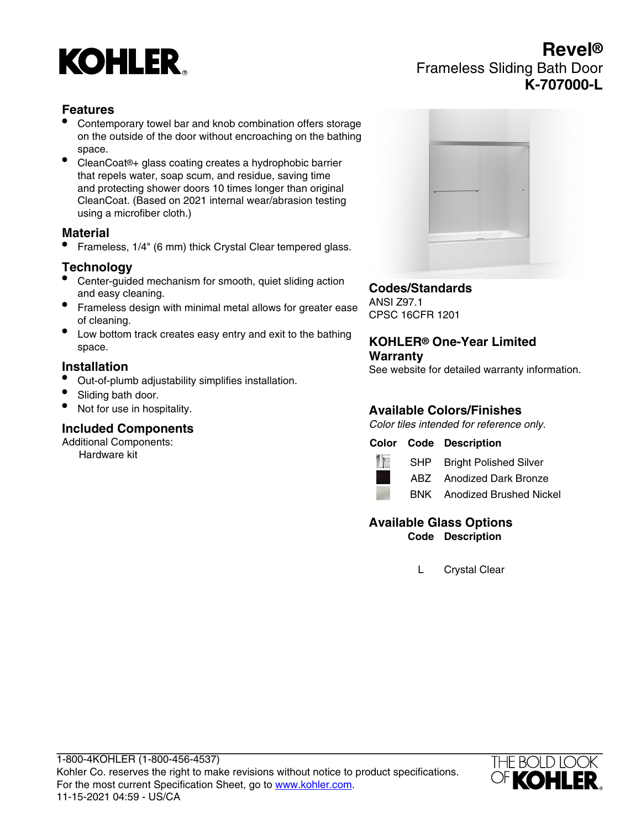

# **Revel®** Frameless Sliding Bath Door **K-707000-L**

# **Features**

- Contemporary towel bar and knob combination offers storage on the outside of the door without encroaching on the bathing space.
- CleanCoat®+ glass coating creates a hydrophobic barrier that repels water, soap scum, and residue, saving time and protecting shower doors 10 times longer than original CleanCoat. (Based on 2021 internal wear/abrasion testing using a microfiber cloth.)

### **Material**

• Frameless, 1/4" (6 mm) thick Crystal Clear tempered glass.

# **Technology**

- Center-guided mechanism for smooth, quiet sliding action and easy cleaning.
- Frameless design with minimal metal allows for greater ease of cleaning.
- Low bottom track creates easy entry and exit to the bathing space.

#### **Installation**

- Out-of-plumb adjustability simplifies installation.
- Sliding bath door.
- Not for use in hospitality.

### **Included Components**

Additional Components:

Hardware kit



## **Codes/Standards**

ANSI Z97.1 CPSC 16CFR 1201

#### **KOHLER® One-Year Limited Warranty**

See website for detailed warranty information.

# **Available Colors/Finishes**

Color tiles intended for reference only.

### **Color Code Description**



SHP Bright Polished Silver

ABZ Anodized Dark Bronze

BNK Anodized Brushed Nickel

#### **Available Glass Options Code Description**

L Crystal Clear